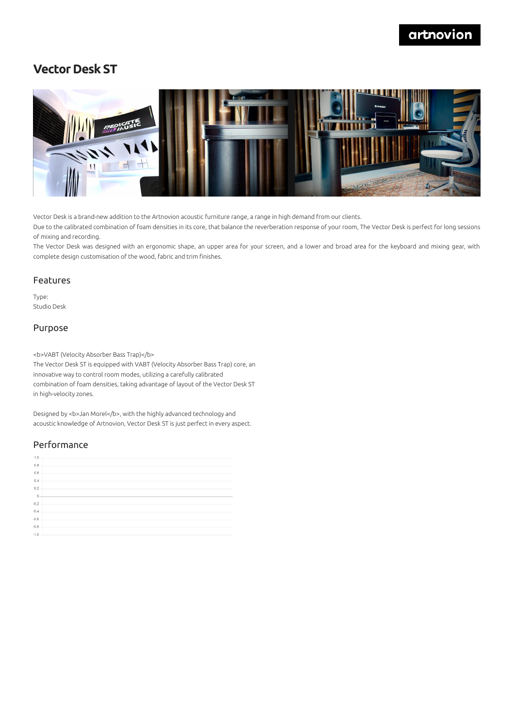## artnovion

## **Vector Desk ST**



Vector Desk is a brand-new addition to the Artnovion acoustic furniture range, a range in high demand from our clients.

Due to the calibrated combination of foam densities in its core, that balance the reverberation response of your room, The Vector Desk is perfect for long sessions of mixing and recording.

The Vector Desk was designed with an ergonomic shape, an upper area for your screen, and a lower and broad area for the keyboard and mixing gear, with complete design customisation of the wood, fabric and trim finishes.

#### Features

Type: Studio Desk

#### Purpose

<b>VABT (Velocity Absorber Bass Trap)</b>

The Vector Desk ST is equipped with VABT (Velocity Absorber Bass Trap) core, an innovative way to control room modes, utilizing a carefully calibrated combination of foam densities, taking advantage of layout of the Vector Desk ST in high-velocity zones.

Designed by <b>Jan Morel</b>, with the highly advanced technology and acoustic knowledge of Artnovion, Vector Desk ST is just perfect in every aspect.

### Performance

| 1.0.           |  |
|----------------|--|
| 0.8            |  |
| 0.6            |  |
| 0.4            |  |
| 0.2            |  |
| $\overline{0}$ |  |
| $-0.2$         |  |
| $-0.4$         |  |
| $-0.6$         |  |
| $-0.8$         |  |
| $-1.0$         |  |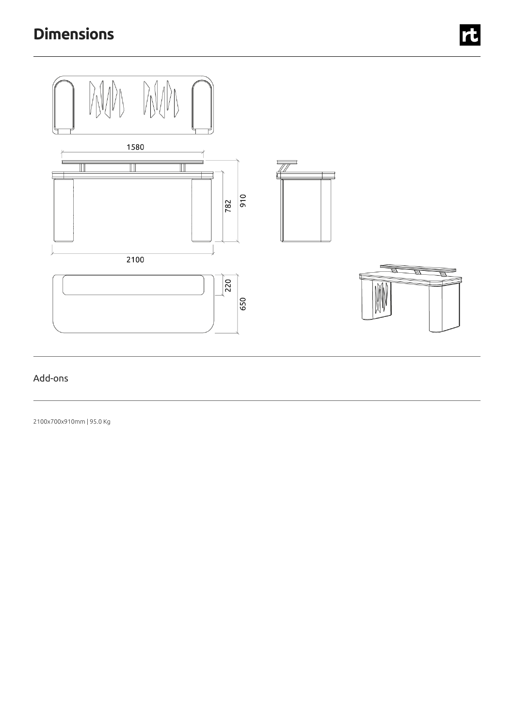

## Add-ons

2100x700x910mm | 95.0 Kg